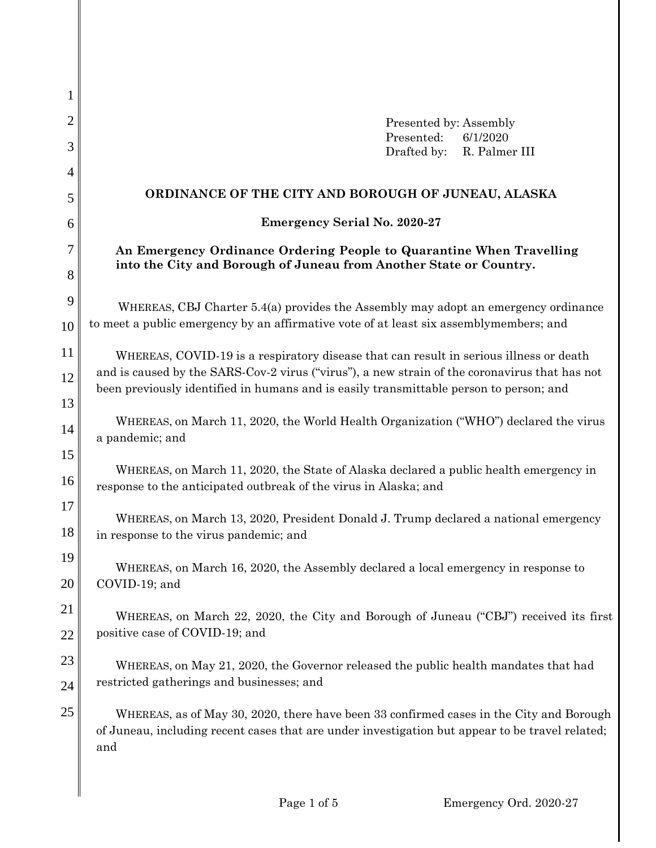| 1              |                                                                                                                                                                                                   |
|----------------|---------------------------------------------------------------------------------------------------------------------------------------------------------------------------------------------------|
| $\overline{2}$ | Presented by: Assembly                                                                                                                                                                            |
| 3              | Presented:<br>6/1/2020<br>Drafted by:<br>R. Palmer III                                                                                                                                            |
| 4              |                                                                                                                                                                                                   |
| 5              | ORDINANCE OF THE CITY AND BOROUGH OF JUNEAU, ALASKA                                                                                                                                               |
| 6              | <b>Emergency Serial No. 2020-27</b>                                                                                                                                                               |
| 7              | An Emergency Ordinance Ordering People to Quarantine When Travelling<br>into the City and Borough of Juneau from Another State or Country.                                                        |
| 8              |                                                                                                                                                                                                   |
| 9              | WHEREAS, CBJ Charter 5.4(a) provides the Assembly may adopt an emergency ordinance                                                                                                                |
| 10             | to meet a public emergency by an affirmative vote of at least six assemblymembers; and                                                                                                            |
| 11             | WHEREAS, COVID-19 is a respiratory disease that can result in serious illness or death                                                                                                            |
| 12             | and is caused by the SARS-Cov-2 virus ("virus"), a new strain of the coronavirus that has not<br>been previously identified in humans and is easily transmittable person to person; and           |
| 13             |                                                                                                                                                                                                   |
| 14             | WHEREAS, on March 11, 2020, the World Health Organization ("WHO") declared the virus<br>a pandemic; and                                                                                           |
| 15             |                                                                                                                                                                                                   |
| 16             | WHEREAS, on March 11, 2020, the State of Alaska declared a public health emergency in<br>response to the anticipated outbreak of the virus in Alaska; and                                         |
| 17             | WHEREAS, on March 13, 2020, President Donald J. Trump declared a national emergency                                                                                                               |
| 18             | in response to the virus pandemic; and                                                                                                                                                            |
| 19             | WHEREAS, on March 16, 2020, the Assembly declared a local emergency in response to                                                                                                                |
| 20             | COVID-19; and                                                                                                                                                                                     |
| 21             | WHEREAS, on March 22, 2020, the City and Borough of Juneau ("CBJ") received its first                                                                                                             |
| 22             | positive case of COVID-19; and                                                                                                                                                                    |
| 23             | WHEREAS, on May 21, 2020, the Governor released the public health mandates that had                                                                                                               |
| 24             | restricted gatherings and businesses; and                                                                                                                                                         |
| 25             | WHEREAS, as of May 30, 2020, there have been 33 confirmed cases in the City and Borough<br>of Juneau, including recent cases that are under investigation but appear to be travel related;<br>and |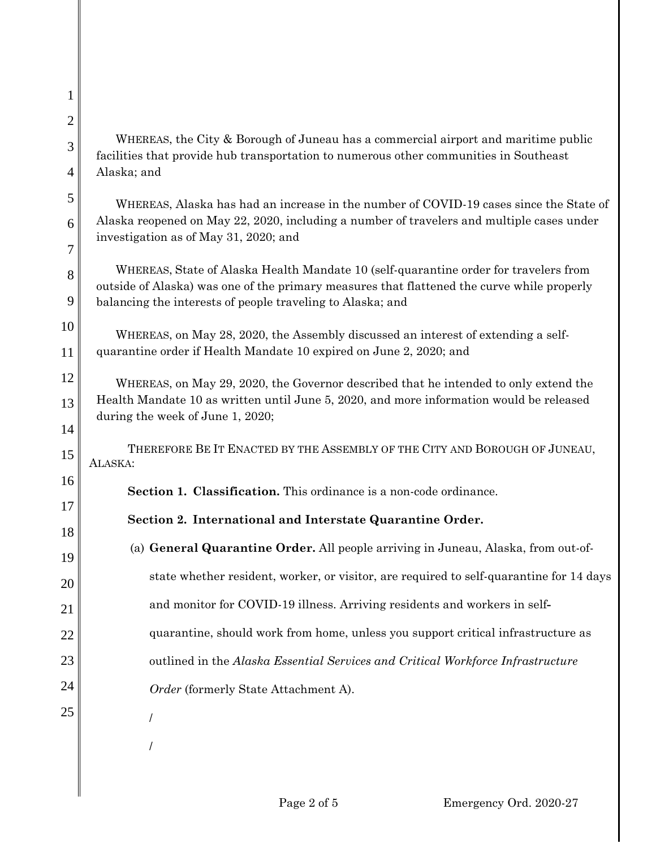24

25

WHEREAS, the City & Borough of Juneau has a commercial airport and maritime public facilities that provide hub transportation to numerous other communities in Southeast Alaska; and

WHEREAS, Alaska has had an increase in the number of COVID-19 cases since the State of Alaska reopened on May 22, 2020, including a number of travelers and multiple cases under investigation as of May 31, 2020; and

WHEREAS, State of Alaska Health Mandate 10 (self-quarantine order for travelers from outside of Alaska) was one of the primary measures that flattened the curve while properly balancing the interests of people traveling to Alaska; and

WHEREAS, on May 28, 2020, the Assembly discussed an interest of extending a selfquarantine order if Health Mandate 10 expired on June 2, 2020; and

WHEREAS, on May 29, 2020, the Governor described that he intended to only extend the Health Mandate 10 as written until June 5, 2020, and more information would be released during the week of June 1, 2020;

THEREFORE BE IT ENACTED BY THE ASSEMBLY OF THE CITY AND BOROUGH OF JUNEAU, ALASKA:

**Section 1. Classification.** This ordinance is a non-code ordinance.

## **Section 2. International and Interstate Quarantine Order.**

- (a) **General Quarantine Order.** All people arriving in Juneau, Alaska, from out-ofstate whether resident, worker, or visitor, are required to self-quarantine for 14 days
	- and monitor for COVID-19 illness. Arriving residents and workers in self**-**
	- quarantine, should work from home, unless you support critical infrastructure as
		- outlined in the *Alaska Essential Services and Critical Workforce Infrastructure* 
			- *Order* (formerly State Attachment A).
			- /

/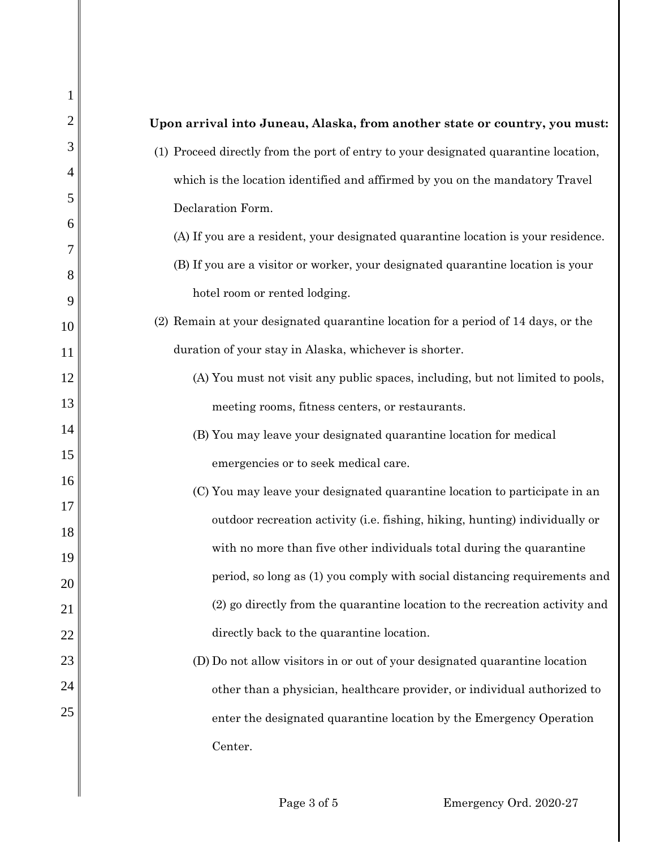| 1        |                                                                                     |
|----------|-------------------------------------------------------------------------------------|
| 2        | Upon arrival into Juneau, Alaska, from another state or country, you must:          |
| 3        | (1) Proceed directly from the port of entry to your designated quarantine location, |
| 4        | which is the location identified and affirmed by you on the mandatory Travel        |
| 5        | Declaration Form.                                                                   |
| 6<br>7   | (A) If you are a resident, your designated quarantine location is your residence.   |
| 8        | (B) If you are a visitor or worker, your designated quarantine location is your     |
| 9        | hotel room or rented lodging.                                                       |
| 10       | (2) Remain at your designated quarantine location for a period of 14 days, or the   |
| 11       | duration of your stay in Alaska, whichever is shorter.                              |
| 12       | (A) You must not visit any public spaces, including, but not limited to pools,      |
| 13       | meeting rooms, fitness centers, or restaurants.                                     |
| 14       | (B) You may leave your designated quarantine location for medical                   |
| 15       | emergencies or to seek medical care.                                                |
| 16       | (C) You may leave your designated quarantine location to participate in an          |
| 17<br>18 | outdoor recreation activity (i.e. fishing, hiking, hunting) individually or         |
| 19       | with no more than five other individuals total during the quarantine                |
| 20       | period, so long as (1) you comply with social distancing requirements and           |
| 21       | (2) go directly from the quarantine location to the recreation activity and         |
| 22       | directly back to the quarantine location.                                           |
| 23       | (D) Do not allow visitors in or out of your designated quarantine location          |
| 24       | other than a physician, healthcare provider, or individual authorized to            |
| 25       | enter the designated quarantine location by the Emergency Operation                 |
|          | Center.                                                                             |
|          |                                                                                     |

 $\mathsf{l}$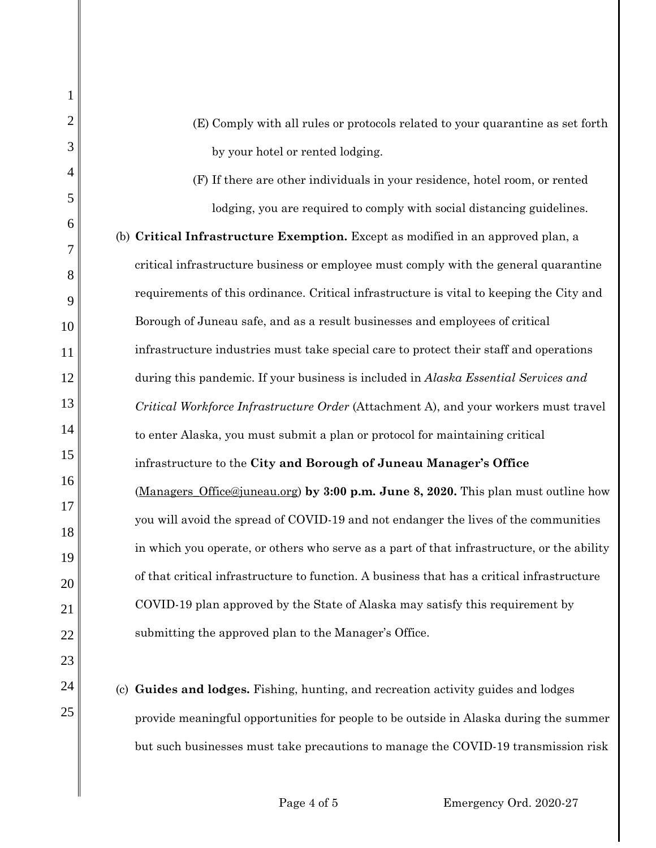(E) Comply with all rules or protocols related to your quarantine as set forth by your hotel or rented lodging.

1

2

3

4

5

6

7

8

9

10

11

12

13

14

15

16

17

18

19

20

21

22

23

24

25

(F) If there are other individuals in your residence, hotel room, or rented lodging, you are required to comply with social distancing guidelines.

(b) **Critical Infrastructure Exemption.** Except as modified in an approved plan, a critical infrastructure business or employee must comply with the general quarantine requirements of this ordinance. Critical infrastructure is vital to keeping the City and Borough of Juneau safe, and as a result businesses and employees of critical infrastructure industries must take special care to protect their staff and operations during this pandemic. If your business is included in *Alaska Essential Services and Critical Workforce Infrastructure Order* (Attachment A), and your workers must travel to enter Alaska, you must submit a plan or protocol for maintaining critical infrastructure to the **City and Borough of Juneau Manager's Office** (Managers\_Office@juneau.org) **by 3:00 p.m. June 8, 2020.** This plan must outline how you will avoid the spread of COVID-19 and not endanger the lives of the communities in which you operate, or others who serve as a part of that infrastructure, or the ability of that critical infrastructure to function. A business that has a critical infrastructure COVID-19 plan approved by the State of Alaska may satisfy this requirement by submitting the approved plan to the Manager's Office.

(c) **Guides and lodges.** Fishing, hunting, and recreation activity guides and lodges provide meaningful opportunities for people to be outside in Alaska during the summer but such businesses must take precautions to manage the COVID-19 transmission risk